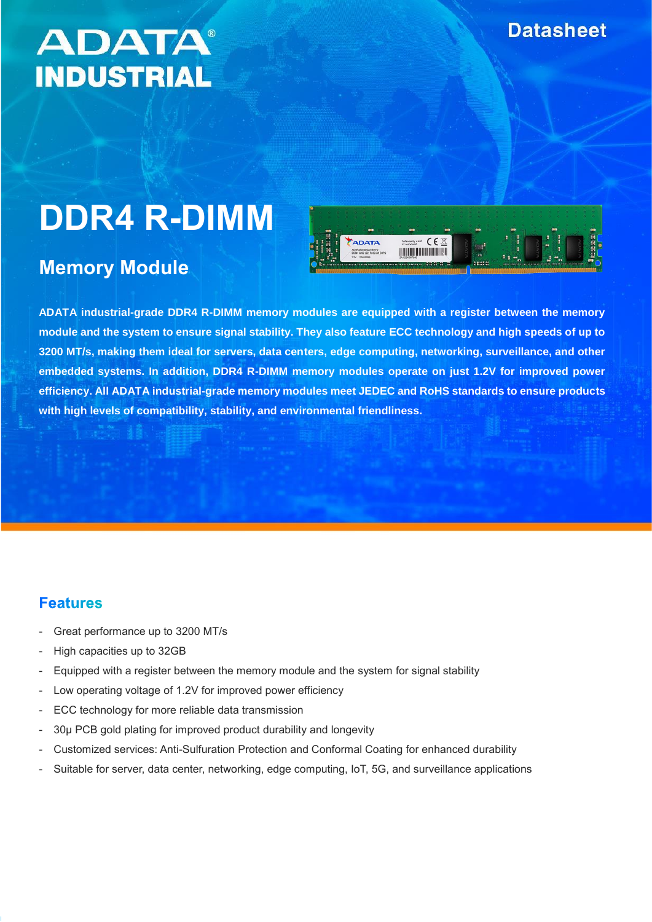# **ADATA® INDUSTRIAL**

# **DDR4 R-DIMM**

# **Memory Module**



**ADATA industrial-grade DDR4 R-DIMM memory modules are equipped with a register between the memory module and the system to ensure signal stability. They also feature ECC technology and high speeds of up to 3200 MT/s, making them ideal for servers, data centers, edge computing, networking, surveillance, and other embedded systems. In addition, DDR4 R-DIMM memory modules operate on just 1.2V for improved power efficiency. All ADATA industrial-grade memory modules meet JEDEC and RoHS standards to ensure products with high levels of compatibility, stability, and environmental friendliness.**

#### **Features**

- Great performance up to 3200 MT/s
- High capacities up to 32GB
- Equipped with a register between the memory module and the system for signal stability
- Low operating voltage of 1.2V for improved power efficiency
- ECC technology for more reliable data transmission
- 30µ PCB gold plating for improved product durability and longevity
- Customized services: Anti-Sulfuration Protection and Conformal Coating for enhanced durability
- Suitable for server, data center, networking, edge computing, IoT, 5G, and surveillance applications